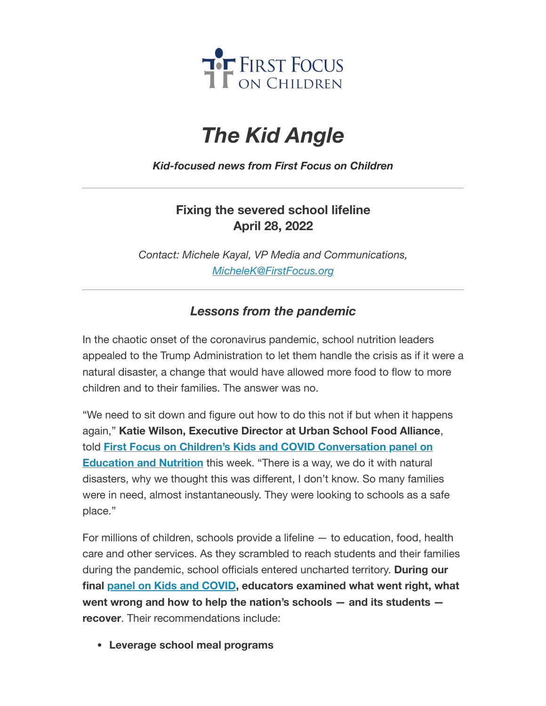

# *The Kid Angle*

*Kid-focused news from First Focus on Children*

## **Fixing the severed school lifeline April 28, 2022**

*Contact: Michele Kayal, VP Media and Communications, [MicheleK@FirstFocus.org](mailto:MicheleK@firstfocus.org)*

### *Lessons from the pandemic*

In the chaotic onset of the coronavirus pandemic, school nutrition leaders appealed to the Trump Administration to let them handle the crisis as if it were a natural disaster, a change that would have allowed more food to flow to more children and to their families. The answer was no.

"We need to sit down and figure out how to do this not if but when it happens again," **Katie Wilson, Executive Director at Urban School Food Alliance**, told **First Focus on Children's Kids and COVID [Conversation](https://action.campaignforchildren.org/r?u=FzF-KU0ygDWc21UK_uySevW1-zlcSNUtCWnDcnU-x4nwhRn-7JMrF1ebw3Dqk6hO3c9z7gkisRw3ZArMbsU8mGbnTDrbENAKrq0HcciySfE&e=6d50ef9bac605c372bd31a2e7c9cacfd&utm_source=ffcc&utm_medium=email&utm_campaign=_98_supporters&n=2&test_email=1) panel on Education and Nutrition** this week. "There is a way, we do it with natural disasters, why we thought this was different, I don't know. So many families were in need, almost instantaneously. They were looking to schools as a safe place."

For millions of children, schools provide a lifeline — to education, food, health care and other services. As they scrambled to reach students and their families during the pandemic, school officials entered uncharted territory. **During our final panel on Kids and [COVID](https://join.firstfocus.org/kidsandcovid?e=6d50ef9bac605c372bd31a2e7c9cacfd&utm_source=ffcc&utm_medium=email&utm_campaign=_98_supporters&n=3&test_email=1), educators examined what went right, what went wrong and how to help the nation's schools — and its students recover**. Their recommendations include:

**Leverage school meal programs**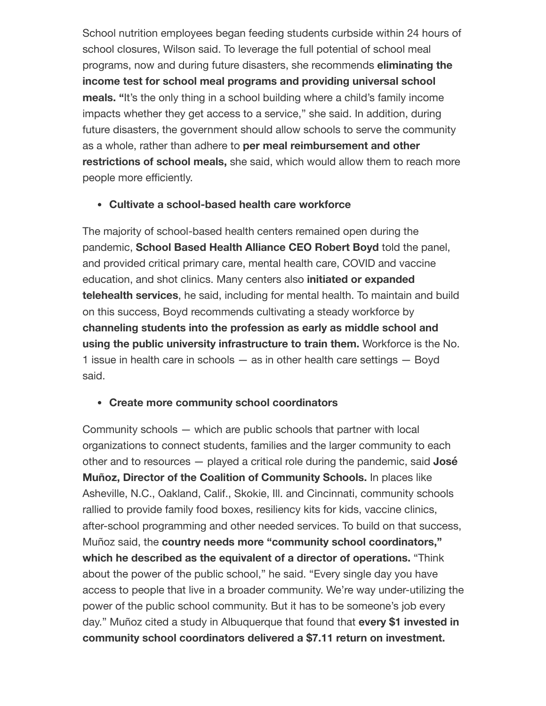School nutrition employees began feeding students curbside within 24 hours of school closures, Wilson said. To leverage the full potential of school meal programs, now and during future disasters, she recommends **eliminating the income test for school meal programs and providing universal school meals.** "It's the only thing in a school building where a child's family income impacts whether they get access to a service," she said. In addition, during future disasters, the government should allow schools to serve the community as a whole, rather than adhere to **per meal reimbursement and other restrictions of school meals,** she said, which would allow them to reach more people more efficiently.

#### **Cultivate a school-based health care workforce**

The majority of school-based health centers remained open during the pandemic, **School Based Health Alliance CEO Robert Boyd** told the panel, and provided critical primary care, mental health care, COVID and vaccine education, and shot clinics. Many centers also **initiated or expanded telehealth services**, he said, including for mental health. To maintain and build on this success, Boyd recommends cultivating a steady workforce by **channeling students into the profession as early as middle school and using the public university infrastructure to train them.** Workforce is the No. 1 issue in health care in schools — as in other health care settings — Boyd said.

#### **Create more community school coordinators**

Community schools — which are public schools that partner with local organizations to connect students, families and the larger community to each other and to resources — played a critical role during the pandemic, said **José Muñoz, Director of the Coalition of Community Schools.** In places like Asheville, N.C., Oakland, Calif., Skokie, Ill. and Cincinnati, community schools rallied to provide family food boxes, resiliency kits for kids, vaccine clinics, after-school programming and other needed services. To build on that success, Muñoz said, the **country needs more "community school coordinators," which he described as the equivalent of a director of operations.** "Think about the power of the public school," he said. "Every single day you have access to people that live in a broader community. We're way under-utilizing the power of the public school community. But it has to be someone's job every day." Muñoz cited a study in Albuquerque that found that **every \$1 invested in community school coordinators delivered a \$7.11 return on investment.**